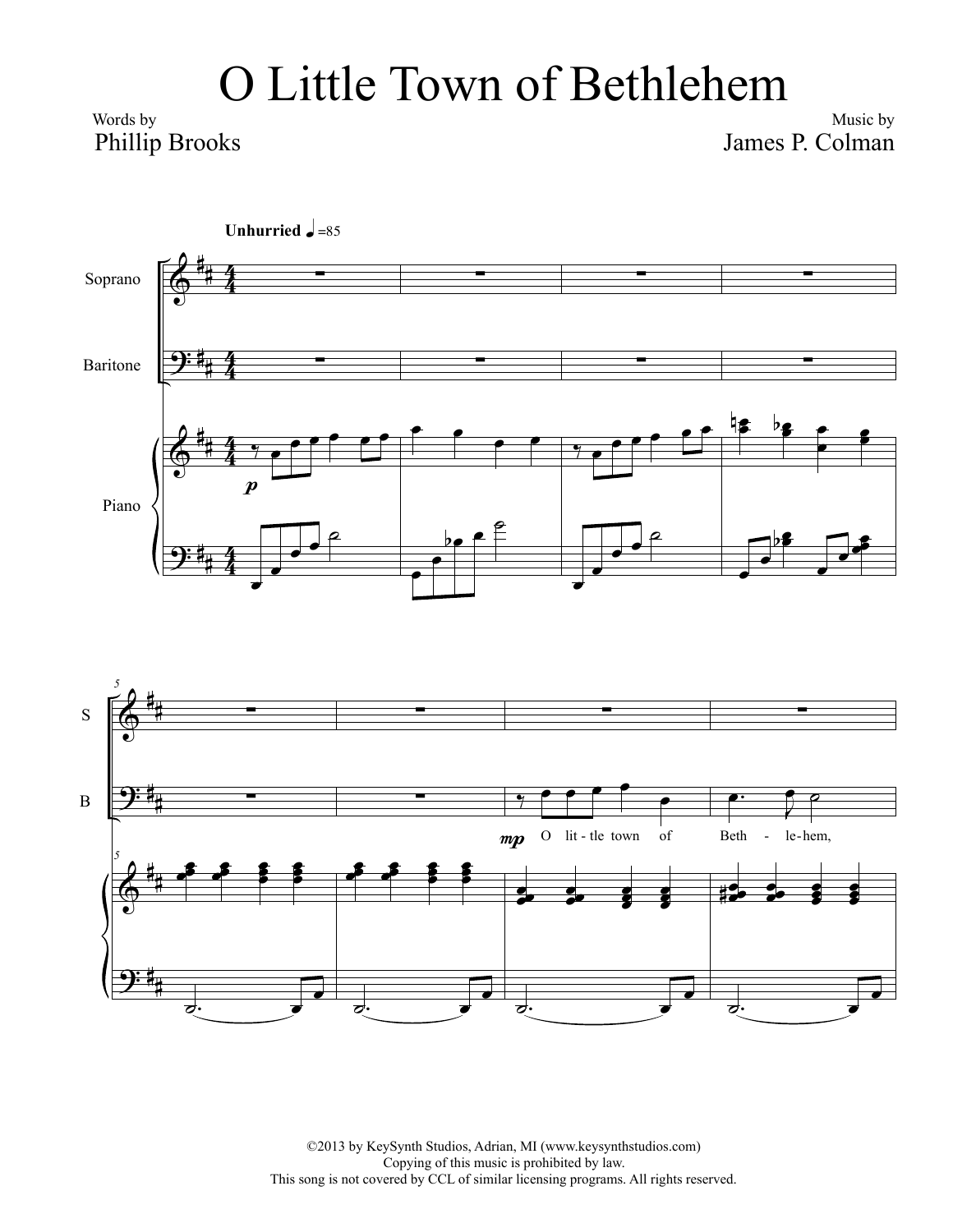## O Little Town of Bethlehem

Words by Phillip Brooks

Music by James P. Colman





©2013 by KeySynth Studios, Adrian, MI (www.keysynthstudios.com) Copying of this music is prohibited by law. This song is not covered by CCL of similar licensing programs. All rights reserved.